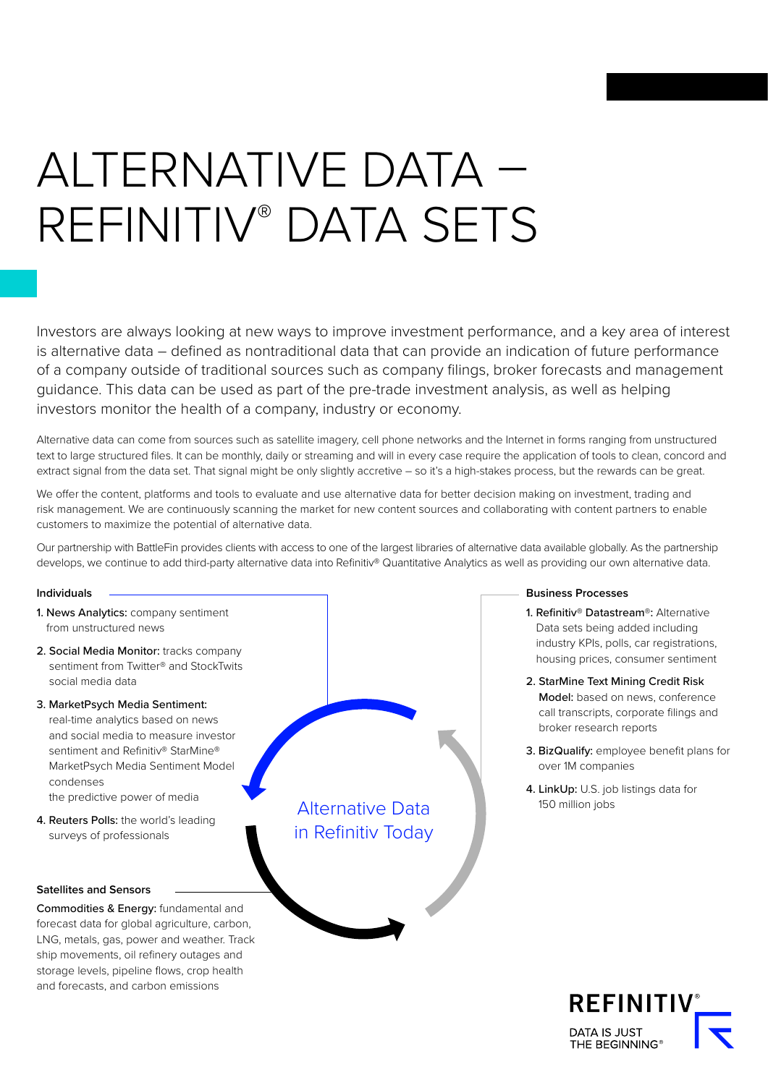# ALTERNATIVE DATA – REFINITIV® DATA SETS

Investors are always looking at new ways to improve investment performance, and a key area of interest is alternative data – defined as nontraditional data that can provide an indication of future performance of a company outside of traditional sources such as company filings, broker forecasts and management guidance. This data can be used as part of the pre-trade investment analysis, as well as helping investors monitor the health of a company, industry or economy.

Alternative data can come from sources such as satellite imagery, cell phone networks and the Internet in forms ranging from unstructured text to large structured files. It can be monthly, daily or streaming and will in every case require the application of tools to clean, concord and extract signal from the data set. That signal might be only slightly accretive – so it's a high-stakes process, but the rewards can be great.

We offer the content, platforms and tools to evaluate and use alternative data for better decision making on investment, trading and risk management. We are continuously scanning the market for new content sources and collaborating with content partners to enable customers to maximize the potential of alternative data.

Our partnership with BattleFin provides clients with access to one of the largest libraries of alternative data available globally. As the partnership develops, we continue to add third-party alternative data into Refinitiv® Quantitative Analytics as well as providing our own alternative data.

## **Individuals**

- 1. News Analytics: company sentiment from unstructured news
- 2. Social Media Monitor: tracks company sentiment from Twitter® and StockTwits social media data
- 3. MarketPsych Media Sentiment: real-time analytics based on news and social media to measure investor sentiment and Refinitiv<sup>®</sup> StarMine® MarketPsych Media Sentiment Model condenses the predictive power of media
- 4. Reuters Polls: the world's leading surveys of professionals

#### **Satellites and Sensors**

Commodities & Energy: fundamental and forecast data for global agriculture, carbon, LNG, metals, gas, power and weather. Track ship movements, oil refinery outages and storage levels, pipeline flows, crop health and forecasts, and carbon emissions

Alternative Data in Refinitiv Today

## **Business Processes**

- 1. Refinitiv® Datastream®: Alternative Data sets being added including industry KPIs, polls, car registrations, housing prices, consumer sentiment
- 2. StarMine Text Mining Credit Risk Model: based on news, conference call transcripts, corporate filings and broker research reports
- 3. BizQualify: employee benefit plans for over 1M companies
- 4. LinkUp: U.S. job listings data for 150 million jobs